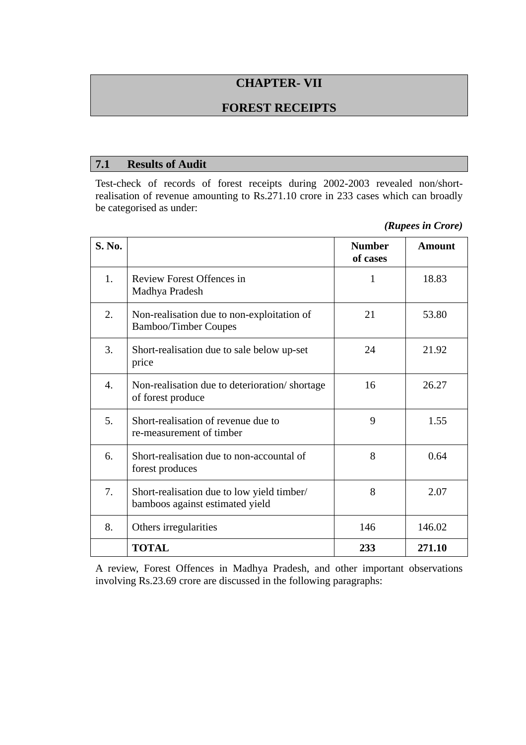# **CHAPTER- VII**

## **FOREST RECEIPTS**

#### **7.1 Results of Audit**

Test-check of records of forest receipts during 2002-2003 revealed non/shortrealisation of revenue amounting to Rs.271.10 crore in 233 cases which can broadly be categorised as under:

| (Rupees in Crore) |  |
|-------------------|--|
|                   |  |

| <b>S. No.</b>    |                                                                               | <b>Number</b><br>of cases | <b>Amount</b> |
|------------------|-------------------------------------------------------------------------------|---------------------------|---------------|
| 1.               | Review Forest Offences in<br>Madhya Pradesh                                   | 1                         | 18.83         |
| 2.               | Non-realisation due to non-exploitation of<br><b>Bamboo/Timber Coupes</b>     | 21                        | 53.80         |
| 3.               | Short-realisation due to sale below up-set<br>price                           | 24                        | 21.92         |
| $\overline{4}$ . | Non-realisation due to deterioration/shortage<br>of forest produce            | 16                        | 26.27         |
| 5.               | Short-realisation of revenue due to<br>re-measurement of timber               | 9                         | 1.55          |
| 6.               | Short-realisation due to non-accountal of<br>forest produces                  | 8                         | 0.64          |
| 7.               | Short-realisation due to low yield timber/<br>bamboos against estimated yield | 8                         | 2.07          |
| 8.               | Others irregularities                                                         | 146                       | 146.02        |
|                  | <b>TOTAL</b>                                                                  | 233                       | 271.10        |

A review, Forest Offences in Madhya Pradesh, and other important observations involving Rs.23.69 crore are discussed in the following paragraphs: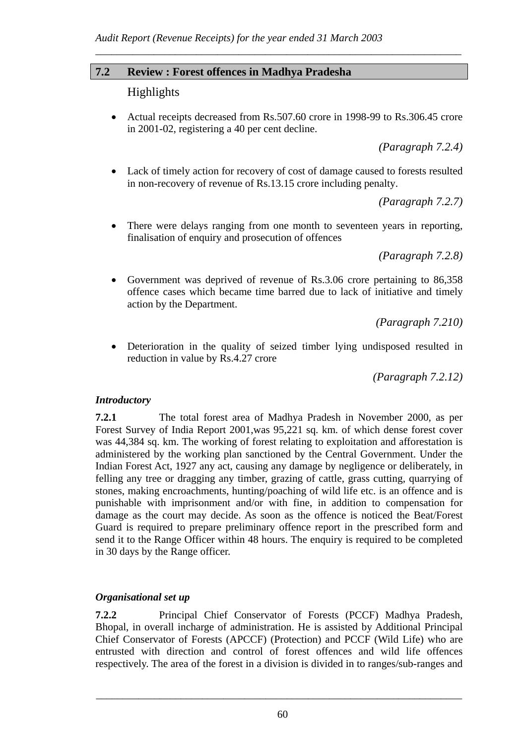### **7.2 Review : Forest offences in Madhya Pradesha**

## Highlights

• Actual receipts decreased from Rs.507.60 crore in 1998-99 to Rs.306.45 crore in 2001-02, registering a 40 per cent decline.

*\_\_\_\_\_\_\_\_\_\_\_\_\_\_\_\_\_\_\_\_\_\_\_\_\_\_\_\_\_\_\_\_\_\_\_\_\_\_\_\_\_\_\_\_\_\_\_\_\_\_\_\_\_\_\_\_\_\_\_\_\_\_\_\_\_\_\_\_\_* 

*(Paragraph 7.2.4)* 

• Lack of timely action for recovery of cost of damage caused to forests resulted in non-recovery of revenue of Rs.13.15 crore including penalty.

*(Paragraph 7.2.7)* 

• There were delays ranging from one month to seventeen years in reporting, finalisation of enquiry and prosecution of offences

*(Paragraph 7.2.8)* 

• Government was deprived of revenue of Rs.3.06 crore pertaining to 86,358 offence cases which became time barred due to lack of initiative and timely action by the Department.

*(Paragraph 7.210)* 

• Deterioration in the quality of seized timber lying undisposed resulted in reduction in value by Rs.4.27 crore

*(Paragraph 7.2.12)* 

### *Introductory*

**7.2.1** The total forest area of Madhya Pradesh in November 2000, as per Forest Survey of India Report 2001,was 95,221 sq. km. of which dense forest cover was 44,384 sq. km. The working of forest relating to exploitation and afforestation is administered by the working plan sanctioned by the Central Government. Under the Indian Forest Act, 1927 any act, causing any damage by negligence or deliberately, in felling any tree or dragging any timber, grazing of cattle, grass cutting, quarrying of stones, making encroachments, hunting/poaching of wild life etc. is an offence and is punishable with imprisonment and/or with fine, in addition to compensation for damage as the court may decide. As soon as the offence is noticed the Beat/Forest Guard is required to prepare preliminary offence report in the prescribed form and send it to the Range Officer within 48 hours. The enquiry is required to be completed in 30 days by the Range officer.

### *Organisational set up*

**7.2.2** Principal Chief Conservator of Forests (PCCF) Madhya Pradesh, Bhopal, in overall incharge of administration. He is assisted by Additional Principal Chief Conservator of Forests (APCCF) (Protection) and PCCF (Wild Life) who are entrusted with direction and control of forest offences and wild life offences respectively. The area of the forest in a division is divided in to ranges/sub-ranges and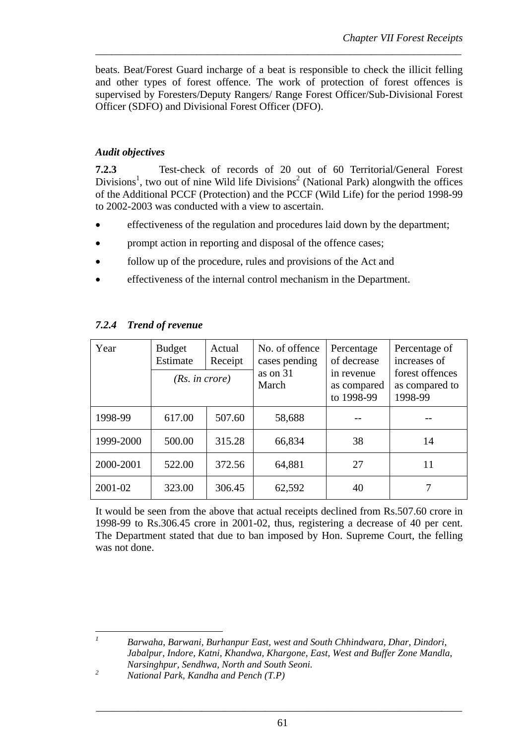beats. Beat/Forest Guard incharge of a beat is responsible to check the illicit felling and other types of forest offence. The work of protection of forest offences is supervised by Foresters/Deputy Rangers/ Range Forest Officer/Sub-Divisional Forest Officer (SDFO) and Divisional Forest Officer (DFO).

*\_\_\_\_\_\_\_\_\_\_\_\_\_\_\_\_\_\_\_\_\_\_\_\_\_\_\_\_\_\_\_\_\_\_\_\_\_\_\_\_\_\_\_\_\_\_\_\_\_\_\_\_\_\_\_\_\_\_\_\_\_\_\_\_\_\_\_\_\_* 

## *Audit objectives*

**7.2.3** Test-check of records of 20 out of 60 Territorial/General Forest Divisions<sup>1</sup>, two out of nine Wild life Divisions<sup>2</sup> (National Park) alongwith the offices of the Additional PCCF (Protection) and the PCCF (Wild Life) for the period 1998-99 to 2002-2003 was conducted with a view to ascertain.

- effectiveness of the regulation and procedures laid down by the department;
- prompt action in reporting and disposal of the offence cases;
- follow up of the procedure, rules and provisions of the Act and
- effectiveness of the internal control mechanism in the Department.

| Year      | <b>Budget</b><br>Estimate<br>(Rs. in <i>core</i> ) | Actual<br>Receipt | No. of offence<br>cases pending<br>as on $31$<br>March | Percentage<br>of decrease<br>in revenue<br>as compared<br>to 1998-99 | Percentage of<br>increases of<br>forest offences<br>as compared to<br>1998-99 |
|-----------|----------------------------------------------------|-------------------|--------------------------------------------------------|----------------------------------------------------------------------|-------------------------------------------------------------------------------|
|           |                                                    |                   |                                                        |                                                                      |                                                                               |
| 1998-99   | 617.00                                             | 507.60            | 58,688                                                 |                                                                      |                                                                               |
| 1999-2000 | 500.00                                             | 315.28            | 66,834                                                 | 38                                                                   | 14                                                                            |
| 2000-2001 | 522.00                                             | 372.56            | 64,881                                                 | 27                                                                   | 11                                                                            |
| 2001-02   | 323.00                                             | 306.45            | 62,592                                                 | 40                                                                   |                                                                               |

## *7.2.4 Trend of revenue*

It would be seen from the above that actual receipts declined from Rs.507.60 crore in 1998-99 to Rs.306.45 crore in 2001-02, thus, registering a decrease of 40 per cent. The Department stated that due to ban imposed by Hon. Supreme Court, the felling was not done.

 *Barwaha, Barwani, Burhanpur East, west and South Chhindwara, Dhar, Dindori, Jabalpur, Indore, Katni, Khandwa, Khargone, East, West and Buffer Zone Mandla, Narsinghpur, Sendhwa, North and South Seoni.* 

*1*

*<sup>2</sup> National Park, Kandha and Pench (T.P)*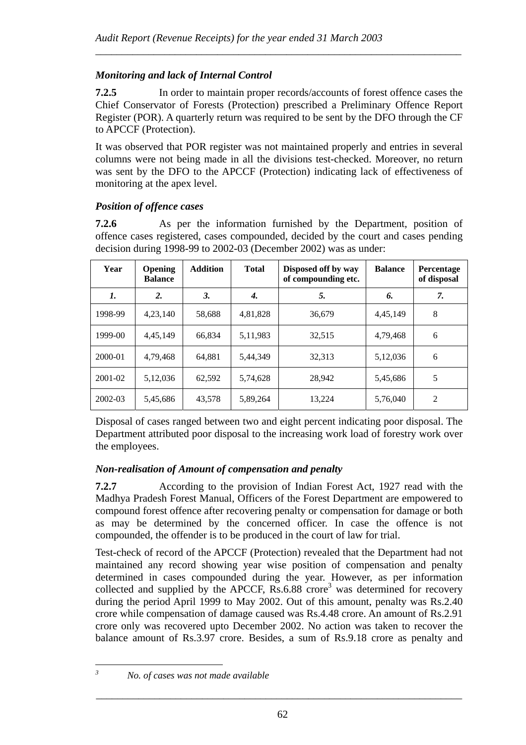## *Monitoring and lack of Internal Control*

**7.2.5** In order to maintain proper records/accounts of forest offence cases the Chief Conservator of Forests (Protection) prescribed a Preliminary Offence Report Register (POR). A quarterly return was required to be sent by the DFO through the CF to APCCF (Protection).

*\_\_\_\_\_\_\_\_\_\_\_\_\_\_\_\_\_\_\_\_\_\_\_\_\_\_\_\_\_\_\_\_\_\_\_\_\_\_\_\_\_\_\_\_\_\_\_\_\_\_\_\_\_\_\_\_\_\_\_\_\_\_\_\_\_\_\_\_\_* 

It was observed that POR register was not maintained properly and entries in several columns were not being made in all the divisions test-checked. Moreover, no return was sent by the DFO to the APCCF (Protection) indicating lack of effectiveness of monitoring at the apex level.

## *Position of offence cases*

**7.2.6** As per the information furnished by the Department, position of offence cases registered, cases compounded, decided by the court and cases pending decision during 1998-99 to 2002-03 (December 2002) was as under:

| Year    | <b>Opening</b><br><b>Balance</b> | <b>Addition</b> | <b>Total</b> | Disposed off by way<br>of compounding etc. | <b>Balance</b> | Percentage<br>of disposal |
|---------|----------------------------------|-----------------|--------------|--------------------------------------------|----------------|---------------------------|
| 1.      | $\overline{2}$ .                 | 3.              | 4.           | 5.                                         | 6.             | 7.                        |
| 1998-99 | 4,23,140                         | 58,688          | 4,81,828     | 36,679                                     | 4,45,149       | 8                         |
| 1999-00 | 4,45,149                         | 66.834          | 5, 11, 983   | 32,515                                     | 4,79,468       | 6                         |
| 2000-01 | 4,79,468                         | 64,881          | 5,44,349     | 32,313                                     | 5,12,036       | 6                         |
| 2001-02 | 5,12,036                         | 62.592          | 5,74,628     | 28,942                                     | 5,45,686       | 5                         |
| 2002-03 | 5,45,686                         | 43,578          | 5,89,264     | 13,224                                     | 5,76,040       | $\overline{2}$            |

Disposal of cases ranged between two and eight percent indicating poor disposal. The Department attributed poor disposal to the increasing work load of forestry work over the employees.

## *Non-realisation of Amount of compensation and penalty*

**7.2.7** According to the provision of Indian Forest Act, 1927 read with the Madhya Pradesh Forest Manual, Officers of the Forest Department are empowered to compound forest offence after recovering penalty or compensation for damage or both as may be determined by the concerned officer. In case the offence is not compounded, the offender is to be produced in the court of law for trial.

Test-check of record of the APCCF (Protection) revealed that the Department had not maintained any record showing year wise position of compensation and penalty determined in cases compounded during the year. However, as per information collected and supplied by the APCCF,  $R_s$ .6.88 crore<sup>3</sup> was determined for recovery during the period April 1999 to May 2002. Out of this amount, penalty was Rs.2.40 crore while compensation of damage caused was Rs.4.48 crore. An amount of Rs.2.91 crore only was recovered upto December 2002. No action was taken to recover the balance amount of Rs.3.97 crore. Besides, a sum of Rs.9.18 crore as penalty and

*3*

*No. of cases was not made available*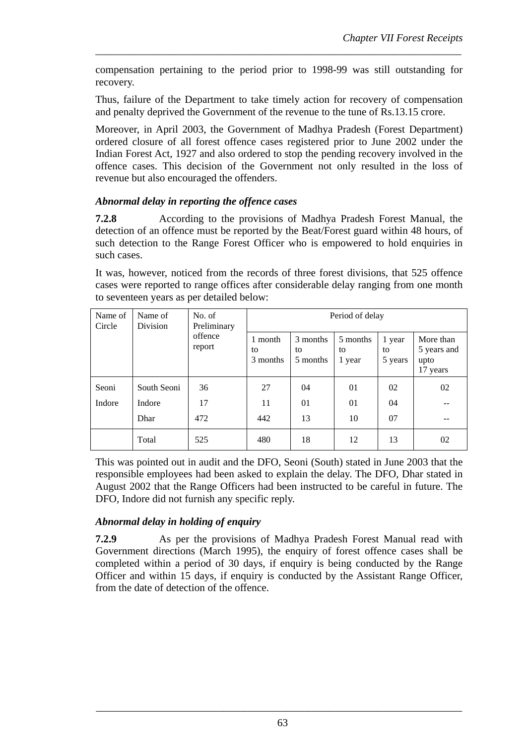compensation pertaining to the period prior to 1998-99 was still outstanding for recovery.

*\_\_\_\_\_\_\_\_\_\_\_\_\_\_\_\_\_\_\_\_\_\_\_\_\_\_\_\_\_\_\_\_\_\_\_\_\_\_\_\_\_\_\_\_\_\_\_\_\_\_\_\_\_\_\_\_\_\_\_\_\_\_\_\_\_\_\_\_\_* 

Thus, failure of the Department to take timely action for recovery of compensation and penalty deprived the Government of the revenue to the tune of Rs.13.15 crore.

Moreover, in April 2003, the Government of Madhya Pradesh (Forest Department) ordered closure of all forest offence cases registered prior to June 2002 under the Indian Forest Act, 1927 and also ordered to stop the pending recovery involved in the offence cases. This decision of the Government not only resulted in the loss of revenue but also encouraged the offenders.

#### *Abnormal delay in reporting the offence cases*

**7.2.8** According to the provisions of Madhya Pradesh Forest Manual, the detection of an offence must be reported by the Beat/Forest guard within 48 hours, of such detection to the Range Forest Officer who is empowered to hold enquiries in such cases.

It was, however, noticed from the records of three forest divisions, that 525 offence cases were reported to range offices after considerable delay ranging from one month to seventeen years as per detailed below:

| Name of<br>Circle | Name of<br>Division | No. of<br>Preliminary |                           |                             | Period of delay          |                         |                                              |
|-------------------|---------------------|-----------------------|---------------------------|-----------------------------|--------------------------|-------------------------|----------------------------------------------|
|                   |                     | offence<br>report     | 1 month<br>to<br>3 months | 3 months<br>to.<br>5 months | 5 months<br>to<br>1 year | 1 year<br>to<br>5 years | More than<br>5 years and<br>upto<br>17 years |
| Seoni             | South Seoni         | 36                    | 27                        | 04                          | 01                       | 02                      | 02                                           |
| Indore            | Indore              | 17                    | 11                        | 01                          | 01                       | 04                      |                                              |
|                   | Dhar                | 472                   | 442                       | 13                          | 10                       | 07                      |                                              |
|                   | Total               | 525                   | 480                       | 18                          | 12                       | 13                      | 02                                           |

This was pointed out in audit and the DFO, Seoni (South) stated in June 2003 that the responsible employees had been asked to explain the delay. The DFO, Dhar stated in August 2002 that the Range Officers had been instructed to be careful in future. The DFO, Indore did not furnish any specific reply.

### *Abnormal delay in holding of enquiry*

**7.2.9** As per the provisions of Madhya Pradesh Forest Manual read with Government directions (March 1995), the enquiry of forest offence cases shall be completed within a period of 30 days, if enquiry is being conducted by the Range Officer and within 15 days, if enquiry is conducted by the Assistant Range Officer, from the date of detection of the offence.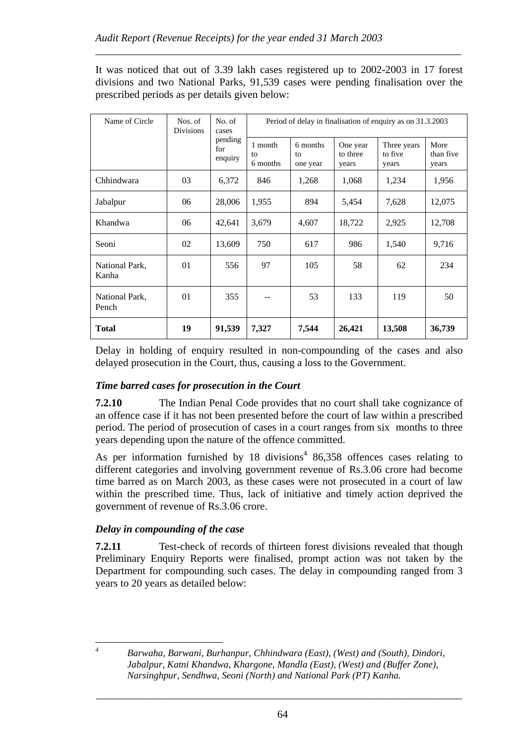It was noticed that out of 3.39 lakh cases registered up to 2002-2003 in 17 forest divisions and two National Parks, 91,539 cases were pending finalisation over the prescribed periods as per details given below:

*\_\_\_\_\_\_\_\_\_\_\_\_\_\_\_\_\_\_\_\_\_\_\_\_\_\_\_\_\_\_\_\_\_\_\_\_\_\_\_\_\_\_\_\_\_\_\_\_\_\_\_\_\_\_\_\_\_\_\_\_\_\_\_\_\_\_\_\_\_* 

| Name of Circle          | Nos. of<br><b>Divisions</b> | No. of<br>cases           |                           | Period of delay in finalisation of enquiry as on 31.3.2003 |                               |                                 |                            |  |  |
|-------------------------|-----------------------------|---------------------------|---------------------------|------------------------------------------------------------|-------------------------------|---------------------------------|----------------------------|--|--|
|                         |                             | pending<br>for<br>enquiry | 1 month<br>to<br>6 months | 6 months<br>to<br>one year                                 | One year<br>to three<br>years | Three years<br>to five<br>years | More<br>than five<br>years |  |  |
| Chhindwara              | 03                          | 6,372                     | 846                       | 1,268                                                      | 1,068                         | 1,234                           | 1,956                      |  |  |
| Jabalpur                | 06                          | 28,006                    | 1,955                     | 894                                                        | 5,454                         | 7,628                           | 12,075                     |  |  |
| Khandwa                 | 06                          | 42,641                    | 3,679                     | 4,607                                                      | 18,722                        | 2,925                           | 12,708                     |  |  |
| Seoni                   | 02                          | 13,609                    | 750                       | 617                                                        | 986                           | 1,540                           | 9,716                      |  |  |
| National Park,<br>Kanha | 01                          | 556                       | 97                        | 105                                                        | 58                            | 62                              | 234                        |  |  |
| National Park,<br>Pench | 01                          | 355                       |                           | 53                                                         | 133                           | 119                             | 50                         |  |  |
| <b>Total</b>            | 19                          | 91,539                    | 7,327                     | 7,544                                                      | 26,421                        | 13,508                          | 36,739                     |  |  |

Delay in holding of enquiry resulted in non-compounding of the cases and also delayed prosecution in the Court, thus, causing a loss to the Government.

## *Time barred cases for prosecution in the Court*

**7.2.10** The Indian Penal Code provides that no court shall take cognizance of an offence case if it has not been presented before the court of law within a prescribed period. The period of prosecution of cases in a court ranges from six months to three years depending upon the nature of the offence committed.

As per information furnished by 18 divisions<sup>4</sup> 86,358 offences cases relating to different categories and involving government revenue of Rs.3.06 crore had become time barred as on March 2003, as these cases were not prosecuted in a court of law within the prescribed time. Thus, lack of initiative and timely action deprived the government of revenue of Rs.3.06 crore.

## *Delay in compounding of the case*

 $\overline{a}$ *4*

**7.2.11** Test-check of records of thirteen forest divisions revealed that though Preliminary Enquiry Reports were finalised, prompt action was not taken by the Department for compounding such cases. The delay in compounding ranged from 3 years to 20 years as detailed below:

 *Barwaha, Barwani, Burhanpur, Chhindwara (East), (West) and (South), Dindori, Jabalpur, Katni Khandwa, Khargone, Mandla (East), (West) and (Buffer Zone), Narsinghpur, Sendhwa, Seoni (North) and National Park (PT) Kanha.*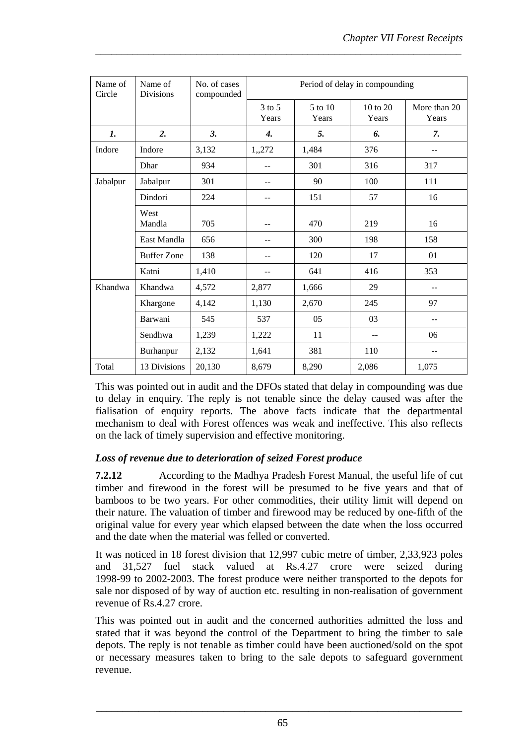| Name of<br>Circle | Name of<br><b>Divisions</b> | No. of cases<br>compounded | Period of delay in compounding |                  |                   |                       |  |
|-------------------|-----------------------------|----------------------------|--------------------------------|------------------|-------------------|-----------------------|--|
|                   |                             |                            | $3$ to $5$<br>Years            | 5 to 10<br>Years | 10 to 20<br>Years | More than 20<br>Years |  |
| 1.                | 2.                          | 3.                         | $\boldsymbol{4}$ .             | 5.               | 6.                | 7.                    |  |
| Indore            | Indore                      | 3,132                      | 1,,272                         | 1,484            | 376               |                       |  |
|                   | Dhar                        | 934                        |                                | 301              | 316               | 317                   |  |
| Jabalpur          | Jabalpur                    | 301                        |                                | 90               | 100               | 111                   |  |
|                   | Dindori                     | 224                        |                                | 151              | 57                | 16                    |  |
|                   | West<br>Mandla              | 705                        |                                | 470              | 219               | 16                    |  |
|                   | East Mandla                 | 656                        |                                | 300              | 198               | 158                   |  |
|                   | <b>Buffer Zone</b>          | 138                        |                                | 120              | 17                | 01                    |  |
|                   | Katni                       | 1,410                      |                                | 641              | 416               | 353                   |  |
| Khandwa           | Khandwa                     | 4,572                      | 2,877                          | 1,666            | 29                |                       |  |
|                   | Khargone                    | 4,142                      | 1,130                          | 2,670            | 245               | 97                    |  |
|                   | Barwani                     | 545                        | 537                            | 05               | 03                | --                    |  |
|                   | Sendhwa                     | 1,239                      | 1,222                          | 11               | --                | 06                    |  |
|                   | Burhanpur                   | 2,132                      | 1,641                          | 381              | 110               |                       |  |
| Total             | 13 Divisions                | 20,130                     | 8,679                          | 8,290            | 2,086             | 1,075                 |  |

*\_\_\_\_\_\_\_\_\_\_\_\_\_\_\_\_\_\_\_\_\_\_\_\_\_\_\_\_\_\_\_\_\_\_\_\_\_\_\_\_\_\_\_\_\_\_\_\_\_\_\_\_\_\_\_\_\_\_\_\_\_\_\_\_\_\_\_\_\_* 

This was pointed out in audit and the DFOs stated that delay in compounding was due to delay in enquiry. The reply is not tenable since the delay caused was after the fialisation of enquiry reports. The above facts indicate that the departmental mechanism to deal with Forest offences was weak and ineffective. This also reflects on the lack of timely supervision and effective monitoring.

### *Loss of revenue due to deterioration of seized Forest produce*

**7.2.12** According to the Madhya Pradesh Forest Manual, the useful life of cut timber and firewood in the forest will be presumed to be five years and that of bamboos to be two years. For other commodities, their utility limit will depend on their nature. The valuation of timber and firewood may be reduced by one-fifth of the original value for every year which elapsed between the date when the loss occurred and the date when the material was felled or converted.

It was noticed in 18 forest division that 12,997 cubic metre of timber, 2,33,923 poles and 31,527 fuel stack valued at Rs.4.27 crore were seized during 1998-99 to 2002-2003. The forest produce were neither transported to the depots for sale nor disposed of by way of auction etc. resulting in non-realisation of government revenue of Rs.4.27 crore.

This was pointed out in audit and the concerned authorities admitted the loss and stated that it was beyond the control of the Department to bring the timber to sale depots. The reply is not tenable as timber could have been auctioned/sold on the spot or necessary measures taken to bring to the sale depots to safeguard government revenue.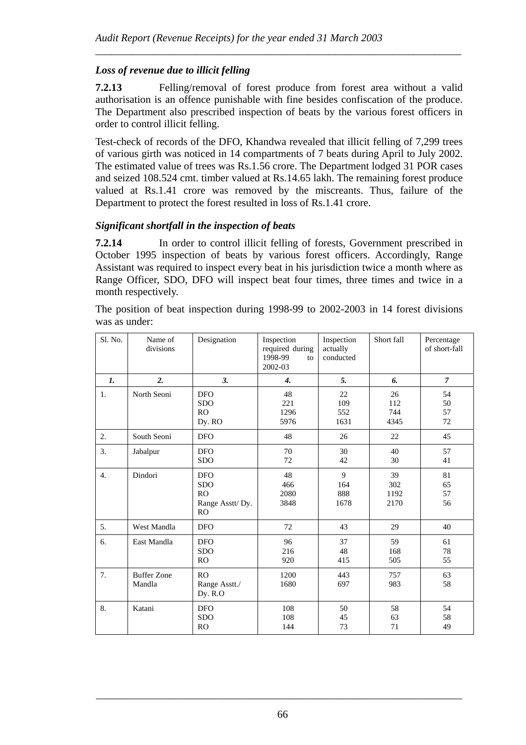## *Loss of revenue due to illicit felling*

**7.2.13** Felling/removal of forest produce from forest area without a valid authorisation is an offence punishable with fine besides confiscation of the produce. The Department also prescribed inspection of beats by the various forest officers in order to control illicit felling.

*\_\_\_\_\_\_\_\_\_\_\_\_\_\_\_\_\_\_\_\_\_\_\_\_\_\_\_\_\_\_\_\_\_\_\_\_\_\_\_\_\_\_\_\_\_\_\_\_\_\_\_\_\_\_\_\_\_\_\_\_\_\_\_\_\_\_\_\_\_* 

Test-check of records of the DFO, Khandwa revealed that illicit felling of 7,299 trees of various girth was noticed in 14 compartments of 7 beats during April to July 2002. The estimated value of trees was Rs.1.56 crore. The Department lodged 31 POR cases and seized 108.524 cmt. timber valued at Rs.14.65 lakh. The remaining forest produce valued at Rs.1.41 crore was removed by the miscreants. Thus, failure of the Department to protect the forest resulted in loss of Rs.1.41 crore.

#### *Significant shortfall in the inspection of beats*

**7.2.14** In order to control illicit felling of forests, Government prescribed in October 1995 inspection of beats by various forest officers. Accordingly, Range Assistant was required to inspect every beat in his jurisdiction twice a month where as Range Officer, SDO, DFO will inspect beat four times, three times and twice in a month respectively.

The position of beat inspection during 1998-99 to 2002-2003 in 14 forest divisions was as under:

| Sl. No.        | Name of<br>divisions         | Designation                                                           | Inspection<br>required during<br>1998-99<br>to<br>2002-03 | Inspection<br>actually<br>conducted | Short fall                | Percentage<br>of short-fall |
|----------------|------------------------------|-----------------------------------------------------------------------|-----------------------------------------------------------|-------------------------------------|---------------------------|-----------------------------|
| $\mathbf{I}$ . | 2.                           | 3.                                                                    | $\overline{4}$ .                                          | 5.                                  | 6.                        | $\overline{7}$              |
| 1.             | North Seoni                  | <b>DFO</b><br><b>SDO</b><br>RO<br>Dy. RO                              | 48<br>221<br>1296<br>5976                                 | 22<br>109<br>552<br>1631            | 26<br>112<br>744<br>4345  | 54<br>50<br>57<br>72        |
| 2.             | South Seoni                  | <b>DFO</b>                                                            | 48                                                        | 26                                  | 22                        | 45                          |
| 3.             | Jabalpur                     | <b>DFO</b><br><b>SDO</b>                                              | 70<br>72                                                  | 30<br>42                            | 40<br>30                  | 57<br>41                    |
| 4.             | Dindori                      | <b>DFO</b><br><b>SDO</b><br><b>RO</b><br>Range Asstt/Dy.<br><b>RO</b> | 48<br>466<br>2080<br>3848                                 | 9<br>164<br>888<br>1678             | 39<br>302<br>1192<br>2170 | 81<br>65<br>57<br>56        |
| 5.             | West Mandla                  | <b>DFO</b>                                                            | 72                                                        | 43                                  | 29                        | 40                          |
| 6.             | East Mandla                  | <b>DFO</b><br><b>SDO</b><br>RO                                        | 96<br>216<br>920                                          | 37<br>48<br>415                     | 59<br>168<br>505          | 61<br>78<br>55              |
| 7.             | <b>Buffer Zone</b><br>Mandla | RO<br>Range Asstt./<br>Dy. R.O                                        | 1200<br>1680                                              | 443<br>697                          | 757<br>983                | 63<br>58                    |
| 8.             | Katani                       | <b>DFO</b><br><b>SDO</b><br><b>RO</b>                                 | 108<br>108<br>144                                         | 50<br>45<br>73                      | 58<br>63<br>71            | 54<br>58<br>49              |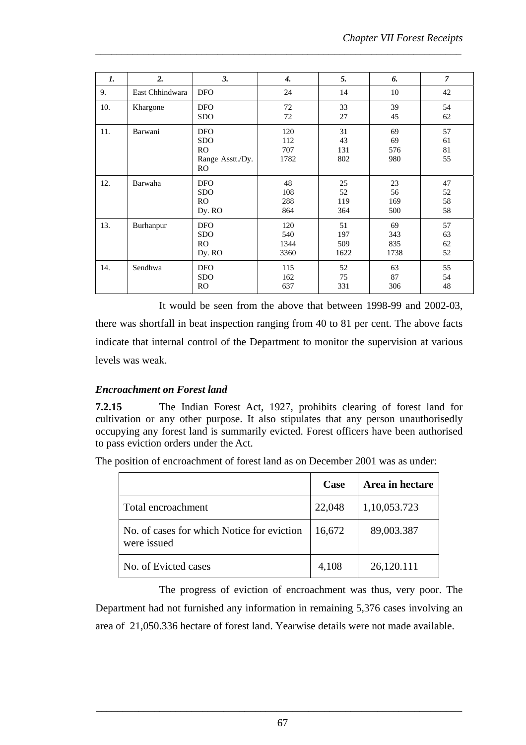| $\mathbf{I}$ . | $\overline{2}$ . | 3.                                                               | $\boldsymbol{4}$           | 5.                       | 6.                       | $\overline{7}$       |
|----------------|------------------|------------------------------------------------------------------|----------------------------|--------------------------|--------------------------|----------------------|
| 9.             | East Chhindwara  | <b>DFO</b>                                                       | 24                         | 14                       | 10                       | 42                   |
| 10.            | Khargone         | <b>DFO</b><br><b>SDO</b>                                         | 72<br>72                   | 33<br>27                 | 39<br>45                 | 54<br>62             |
| 11.            | Barwani          | <b>DFO</b><br><b>SDO</b><br>RO.<br>Range Asstt./Dy.<br><b>RO</b> | 120<br>112<br>707<br>1782  | 31<br>43<br>131<br>802   | 69<br>69<br>576<br>980   | 57<br>61<br>81<br>55 |
| 12.            | Barwaha          | <b>DFO</b><br><b>SDO</b><br>R <sub>O</sub><br>Dy. RO             | 48<br>108<br>288<br>864    | 25<br>52<br>119<br>364   | 23<br>56<br>169<br>500   | 47<br>52<br>58<br>58 |
| 13.            | Burhanpur        | <b>DFO</b><br><b>SDO</b><br>R <sub>O</sub><br>Dy. RO             | 120<br>540<br>1344<br>3360 | 51<br>197<br>509<br>1622 | 69<br>343<br>835<br>1738 | 57<br>63<br>62<br>52 |
| 14.            | Sendhwa          | <b>DFO</b><br><b>SDO</b><br>RO.                                  | 115<br>162<br>637          | 52<br>75<br>331          | 63<br>87<br>306          | 55<br>54<br>48       |

*\_\_\_\_\_\_\_\_\_\_\_\_\_\_\_\_\_\_\_\_\_\_\_\_\_\_\_\_\_\_\_\_\_\_\_\_\_\_\_\_\_\_\_\_\_\_\_\_\_\_\_\_\_\_\_\_\_\_\_\_\_\_\_\_\_\_\_\_\_* 

It would be seen from the above that between 1998-99 and 2002-03, there was shortfall in beat inspection ranging from 40 to 81 per cent. The above facts indicate that internal control of the Department to monitor the supervision at various levels was weak.

### *Encroachment on Forest land*

**7.2.15** The Indian Forest Act, 1927, prohibits clearing of forest land for cultivation or any other purpose. It also stipulates that any person unauthorisedly occupying any forest land is summarily evicted. Forest officers have been authorised to pass eviction orders under the Act.

The position of encroachment of forest land as on December 2001 was as under:

|                                                           | Case   | Area in hectare |
|-----------------------------------------------------------|--------|-----------------|
| Total encroachment                                        | 22,048 | 1,10,053.723    |
| No. of cases for which Notice for eviction<br>were issued | 16,672 | 89,003.387      |
| No. of Evicted cases                                      | 4,108  | 26,120.111      |

The progress of eviction of encroachment was thus, very poor. The Department had not furnished any information in remaining 5,376 cases involving an area of 21,050.336 hectare of forest land. Yearwise details were not made available.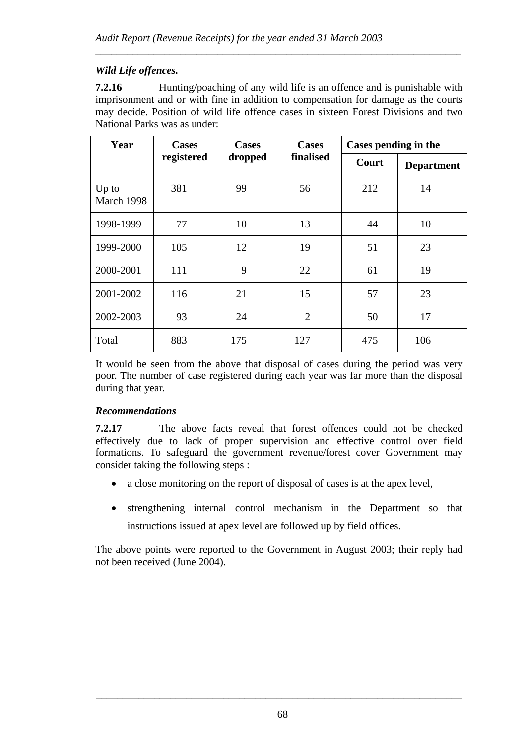## *Wild Life offences.*

**7.2.16** • Hunting/poaching of any wild life is an offence and is punishable with imprisonment and or with fine in addition to compensation for damage as the courts may decide. Position of wild life offence cases in sixteen Forest Divisions and two National Parks was as under:

*\_\_\_\_\_\_\_\_\_\_\_\_\_\_\_\_\_\_\_\_\_\_\_\_\_\_\_\_\_\_\_\_\_\_\_\_\_\_\_\_\_\_\_\_\_\_\_\_\_\_\_\_\_\_\_\_\_\_\_\_\_\_\_\_\_\_\_\_\_* 

| Year                  | <b>Cases</b> | <b>Cases</b> | <b>Cases</b>   | Cases pending in the |                   |  |
|-----------------------|--------------|--------------|----------------|----------------------|-------------------|--|
|                       | registered   | dropped      | finalised      | Court                | <b>Department</b> |  |
| $Up$ to<br>March 1998 | 381          | 99           | 56             | 212                  | 14                |  |
| 1998-1999             | 77           | 10           | 13             | 44                   | 10                |  |
| 1999-2000             | 105          | 12           | 19             | 51                   | 23                |  |
| 2000-2001             | 111          | 9            | 22             | 61                   | 19                |  |
| 2001-2002             | 116          | 21           | 15             | 57                   | 23                |  |
| 2002-2003             | 93           | 24           | $\overline{2}$ | 50                   | 17                |  |
| Total                 | 883          | 175          | 127            | 475                  | 106               |  |

It would be seen from the above that disposal of cases during the period was very poor. The number of case registered during each year was far more than the disposal during that year.

### *Recommendations*

**7.2.17** The above facts reveal that forest offences could not be checked effectively due to lack of proper supervision and effective control over field formations. To safeguard the government revenue/forest cover Government may consider taking the following steps :

- a close monitoring on the report of disposal of cases is at the apex level,
- strengthening internal control mechanism in the Department so that instructions issued at apex level are followed up by field offices.

The above points were reported to the Government in August 2003; their reply had not been received (June 2004).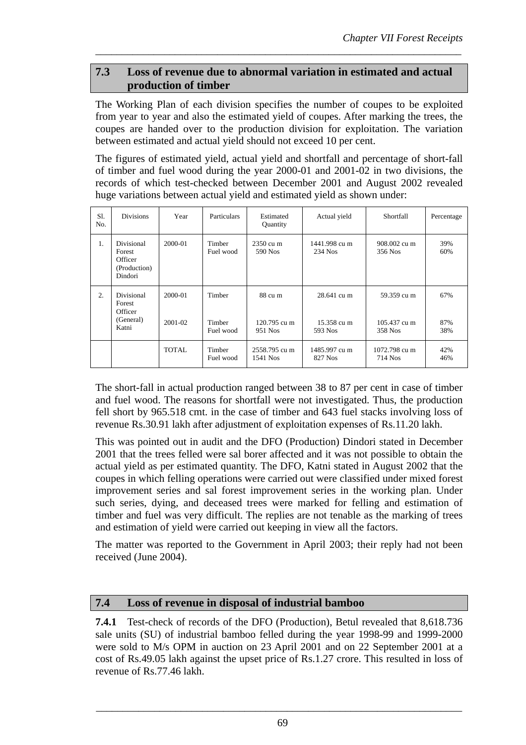## **7.3 Loss of revenue due to abnormal variation in estimated and actual production of timber**

*\_\_\_\_\_\_\_\_\_\_\_\_\_\_\_\_\_\_\_\_\_\_\_\_\_\_\_\_\_\_\_\_\_\_\_\_\_\_\_\_\_\_\_\_\_\_\_\_\_\_\_\_\_\_\_\_\_\_\_\_\_\_\_\_\_\_\_\_\_* 

The Working Plan of each division specifies the number of coupes to be exploited from year to year and also the estimated yield of coupes. After marking the trees, the coupes are handed over to the production division for exploitation. The variation between estimated and actual yield should not exceed 10 per cent.

The figures of estimated yield, actual yield and shortfall and percentage of short-fall of timber and fuel wood during the year 2000-01 and 2001-02 in two divisions, the records of which test-checked between December 2001 and August 2002 revealed huge variations between actual yield and estimated yield as shown under:

| S1.<br>No. | <b>Divisions</b>                                             | Year               | Particulars                   | Estimated<br>Quantity              | Actual yield                          | Shortfall                              | Percentage        |
|------------|--------------------------------------------------------------|--------------------|-------------------------------|------------------------------------|---------------------------------------|----------------------------------------|-------------------|
| 1.         | Divisional<br>Forest<br>Officer<br>(Production)<br>Dindori   | 2000-01            | Timber<br>Fuel wood           | $2350 \text{ cu}$ m<br>590 Nos     | 1441.998 cu m<br>234 Nos              | 908.002 cu m<br>356 Nos                | 39%<br>60%        |
| 2.         | <b>Divisional</b><br>Forest<br>Officer<br>(General)<br>Katni | 2000-01<br>2001-02 | Timber<br>Timber<br>Fuel wood | 88 cu m<br>120.795 cu m<br>951 Nos | 28.641 cu m<br>15.358 cu m<br>593 Nos | 59.359 cu m<br>105.437 cu m<br>358 Nos | 67%<br>87%<br>38% |
|            |                                                              | <b>TOTAL</b>       | Timber<br>Fuel wood           | 2558.795 cu m<br>1541 Nos          | 1485.997 cu m<br>827 Nos              | 1072.798 cu m<br>714 Nos               | 42%<br>46%        |

The short-fall in actual production ranged between 38 to 87 per cent in case of timber and fuel wood. The reasons for shortfall were not investigated. Thus, the production fell short by 965.518 cmt. in the case of timber and 643 fuel stacks involving loss of revenue Rs.30.91 lakh after adjustment of exploitation expenses of Rs.11.20 lakh.

This was pointed out in audit and the DFO (Production) Dindori stated in December 2001 that the trees felled were sal borer affected and it was not possible to obtain the actual yield as per estimated quantity. The DFO, Katni stated in August 2002 that the coupes in which felling operations were carried out were classified under mixed forest improvement series and sal forest improvement series in the working plan. Under such series, dying, and deceased trees were marked for felling and estimation of timber and fuel was very difficult. The replies are not tenable as the marking of trees and estimation of yield were carried out keeping in view all the factors.

The matter was reported to the Government in April 2003; their reply had not been received (June 2004).

## **7.4 Loss of revenue in disposal of industrial bamboo**

**7.4.1** Test-check of records of the DFO (Production), Betul revealed that 8,618.736 sale units (SU) of industrial bamboo felled during the year 1998-99 and 1999-2000 were sold to M/s OPM in auction on 23 April 2001 and on 22 September 2001 at a cost of Rs.49.05 lakh against the upset price of Rs.1.27 crore. This resulted in loss of revenue of Rs.77.46 lakh.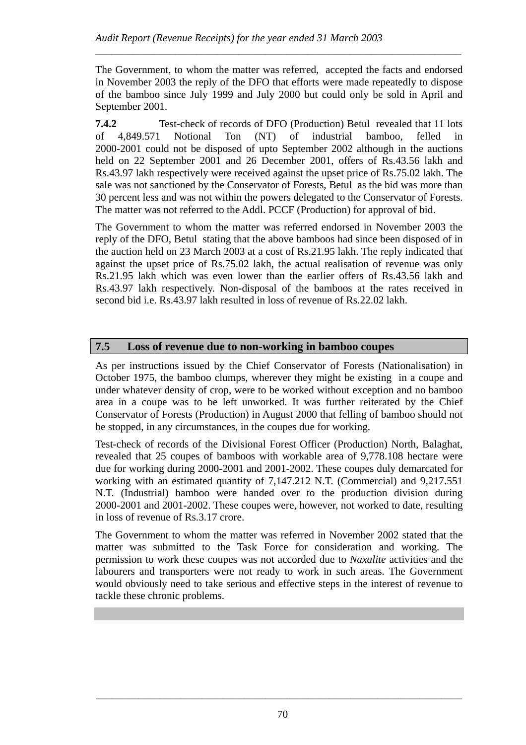The Government, to whom the matter was referred, accepted the facts and endorsed in November 2003 the reply of the DFO that efforts were made repeatedly to dispose of the bamboo since July 1999 and July 2000 but could only be sold in April and September 2001.

*\_\_\_\_\_\_\_\_\_\_\_\_\_\_\_\_\_\_\_\_\_\_\_\_\_\_\_\_\_\_\_\_\_\_\_\_\_\_\_\_\_\_\_\_\_\_\_\_\_\_\_\_\_\_\_\_\_\_\_\_\_\_\_\_\_\_\_\_\_* 

**7.4.2** Test-check of records of DFO (Production) Betul revealed that 11 lots of 4,849.571 Notional Ton (NT) of industrial bamboo, felled in 2000-2001 could not be disposed of upto September 2002 although in the auctions held on 22 September 2001 and 26 December 2001, offers of Rs.43.56 lakh and Rs.43.97 lakh respectively were received against the upset price of Rs.75.02 lakh. The sale was not sanctioned by the Conservator of Forests, Betul as the bid was more than 30 percent less and was not within the powers delegated to the Conservator of Forests. The matter was not referred to the Addl. PCCF (Production) for approval of bid.

The Government to whom the matter was referred endorsed in November 2003 the reply of the DFO, Betul stating that the above bamboos had since been disposed of in the auction held on 23 March 2003 at a cost of Rs.21.95 lakh. The reply indicated that against the upset price of Rs.75.02 lakh, the actual realisation of revenue was only Rs.21.95 lakh which was even lower than the earlier offers of Rs.43.56 lakh and Rs.43.97 lakh respectively. Non-disposal of the bamboos at the rates received in second bid i.e. Rs.43.97 lakh resulted in loss of revenue of Rs.22.02 lakh.

## **7.5 Loss of revenue due to non-working in bamboo coupes**

As per instructions issued by the Chief Conservator of Forests (Nationalisation) in October 1975, the bamboo clumps, wherever they might be existing in a coupe and under whatever density of crop, were to be worked without exception and no bamboo area in a coupe was to be left unworked. It was further reiterated by the Chief Conservator of Forests (Production) in August 2000 that felling of bamboo should not be stopped, in any circumstances, in the coupes due for working.

Test-check of records of the Divisional Forest Officer (Production) North, Balaghat, revealed that 25 coupes of bamboos with workable area of 9,778.108 hectare were due for working during 2000-2001 and 2001-2002. These coupes duly demarcated for working with an estimated quantity of 7,147.212 N.T. (Commercial) and 9,217.551 N.T. (Industrial) bamboo were handed over to the production division during 2000-2001 and 2001-2002. These coupes were, however, not worked to date, resulting in loss of revenue of Rs.3.17 crore.

The Government to whom the matter was referred in November 2002 stated that the matter was submitted to the Task Force for consideration and working. The permission to work these coupes was not accorded due to *Naxalite* activities and the labourers and transporters were not ready to work in such areas. The Government would obviously need to take serious and effective steps in the interest of revenue to tackle these chronic problems.